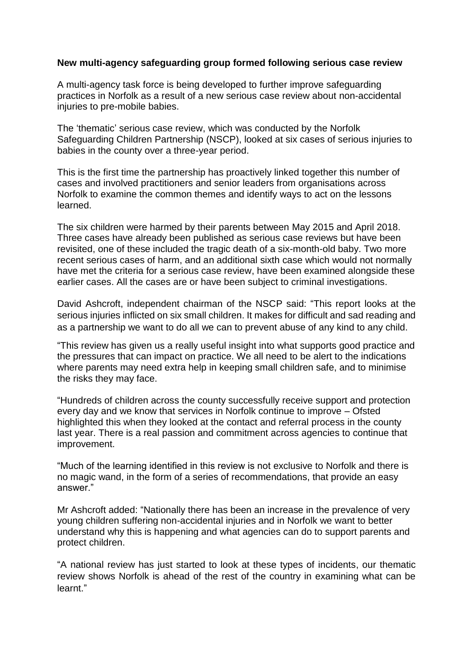## **New multi-agency safeguarding group formed following serious case review**

A multi-agency task force is being developed to further improve safeguarding practices in Norfolk as a result of a new serious case review about non-accidental injuries to pre-mobile babies.

The 'thematic' serious case review, which was conducted by the Norfolk Safeguarding Children Partnership (NSCP), looked at six cases of serious injuries to babies in the county over a three-year period.

This is the first time the partnership has proactively linked together this number of cases and involved practitioners and senior leaders from organisations across Norfolk to examine the common themes and identify ways to act on the lessons learned.

The six children were harmed by their parents between May 2015 and April 2018. Three cases have already been published as serious case reviews but have been revisited, one of these included the tragic death of a six-month-old baby. Two more recent serious cases of harm, and an additional sixth case which would not normally have met the criteria for a serious case review, have been examined alongside these earlier cases. All the cases are or have been subject to criminal investigations.

David Ashcroft, independent chairman of the NSCP said: "This report looks at the serious injuries inflicted on six small children. It makes for difficult and sad reading and as a partnership we want to do all we can to prevent abuse of any kind to any child.

"This review has given us a really useful insight into what supports good practice and the pressures that can impact on practice. We all need to be alert to the indications where parents may need extra help in keeping small children safe, and to minimise the risks they may face.

"Hundreds of children across the county successfully receive support and protection every day and we know that services in Norfolk continue to improve – Ofsted highlighted this when they looked at the contact and referral process in the county last year. There is a real passion and commitment across agencies to continue that improvement.

"Much of the learning identified in this review is not exclusive to Norfolk and there is no magic wand, in the form of a series of recommendations, that provide an easy answer."

Mr Ashcroft added: "Nationally there has been an increase in the prevalence of very young children suffering non-accidental injuries and in Norfolk we want to better understand why this is happening and what agencies can do to support parents and protect children.

"A national review has just started to look at these types of incidents, our thematic review shows Norfolk is ahead of the rest of the country in examining what can be learnt."